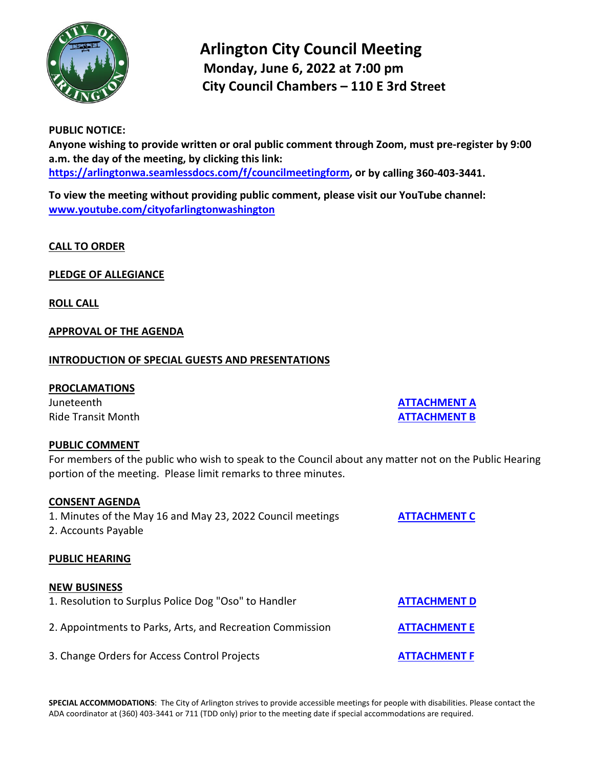

# **Arlington City Council Meeting Monday, June 6, 2022 at 7:00 pm City Council Chambers – 110 E 3rd Street**

# **PUBLIC NOTICE:**

**Anyone wishing to provide written or oral public comment through Zoom, must pre-register by 9:00 a.m. the day of the meeting, by clicking this link: [https://arlingtonwa.seamlessdocs.com/f/councilmeetingform,](https://arlingtonwa.seamlessdocs.com/f/councilmeetingform) or by calling 360-403-3441.**

**To view the meeting without providing public comment, please visit our YouTube channel: [www.youtube.com/cityofarlingtonwashington](http://www.youtube.com/cityofarlingtonwashington)**

## **CALL TO ORDER**

**PLEDGE OF ALLEGIANCE**

**ROLL CALL**

## **APPROVAL OF THE AGENDA**

## **INTRODUCTION OF SPECIAL GUESTS AND PRESENTATIONS**

## **PROCLAMATIONS**

Juneteenth **[ATTACHMENT A](https://www.arlingtonwa.gov/DocumentCenter/View/7349/Attachment-A)** Ride Transit Month **[ATTACHMENT B](https://www.arlingtonwa.gov/DocumentCenter/View/7350/Attachment-B)**

# **PUBLIC COMMENT**

For members of the public who wish to speak to the Council about any matter not on the Public Hearing portion of the meeting. Please limit remarks to three minutes.

## **CONSENT AGENDA**

1. Minutes of the May 16 and May 23, 2022 Council meetings **[ATTACHMENT](https://www.arlingtonwa.gov/DocumentCenter/View/7351/Attachment-C) C**

2. Accounts Payable

## **PUBLIC HEARING**

## **NEW BUSINESS**

1. Resolution to Surplus Police Dog "Oso" to Handler **[ATTACHMENT D](https://www.arlingtonwa.gov/DocumentCenter/View/7352/Attachment-D)** 2. Appointments to Parks, Arts, and Recreation Commission **[ATTACHMENT](https://www.arlingtonwa.gov/DocumentCenter/View/7353/Attachment-E) E** 3. Change Orders for Access Control Projects **[ATTACHMENT F](https://www.arlingtonwa.gov/DocumentCenter/View/7354/Attachment-F)**

**SPECIAL ACCOMMODATIONS**: The City of Arlington strives to provide accessible meetings for people with disabilities. Please contact the ADA coordinator at (360) 403-3441 or 711 (TDD only) prior to the meeting date if special accommodations are required.